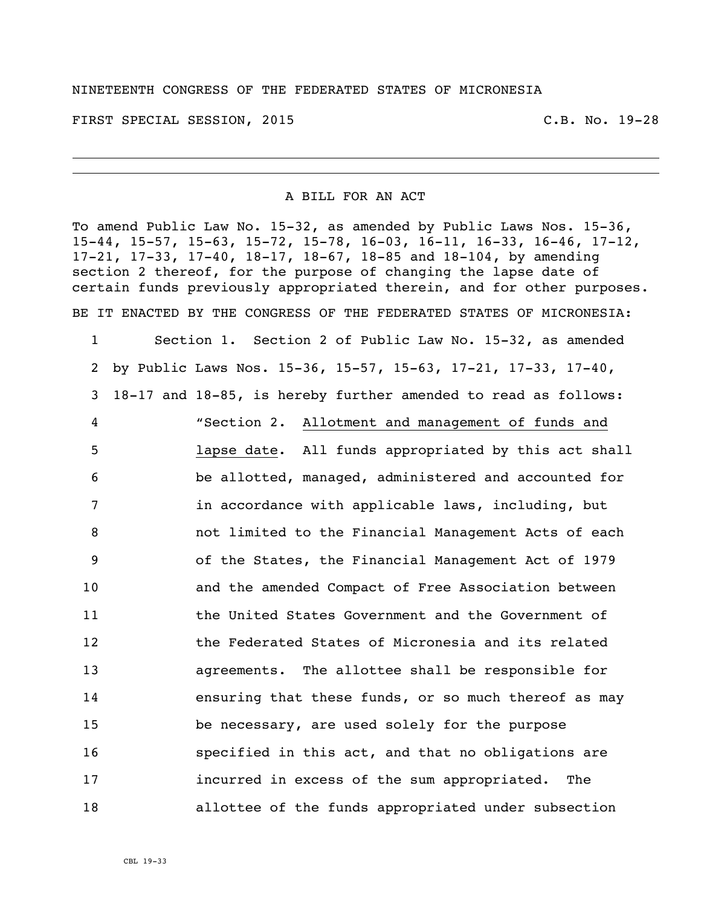FIRST SPECIAL SESSION, 2015 C.B. No. 19-28

## A BILL FOR AN ACT

To amend Public Law No. 15-32, as amended by Public Laws Nos. 15-36, 15-44, 15-57, 15-63, 15-72, 15-78, 16-03, 16-11, 16-33, 16-46, 17-12, 17-21, 17-33, 17-40, 18-17, 18-67, 18-85 and 18-104, by amending section 2 thereof, for the purpose of changing the lapse date of certain funds previously appropriated therein, and for other purposes. BE IT ENACTED BY THE CONGRESS OF THE FEDERATED STATES OF MICRONESIA:

 Section 1. Section 2 of Public Law No. 15-32, as amended by Public Laws Nos. 15-36, 15-57, 15-63, 17-21, 17-33, 17-40, 18-17 and 18-85, is hereby further amended to read as follows: "Section 2. Allotment and management of funds and lapse date. All funds appropriated by this act shall be allotted, managed, administered and accounted for **in accordance with applicable laws, including, but**  not limited to the Financial Management Acts of each of the States, the Financial Management Act of 1979 and the amended Compact of Free Association between the United States Government and the Government of the Federated States of Micronesia and its related agreements. The allottee shall be responsible for ensuring that these funds, or so much thereof as may be necessary, are used solely for the purpose specified in this act, and that no obligations are incurred in excess of the sum appropriated. The allottee of the funds appropriated under subsection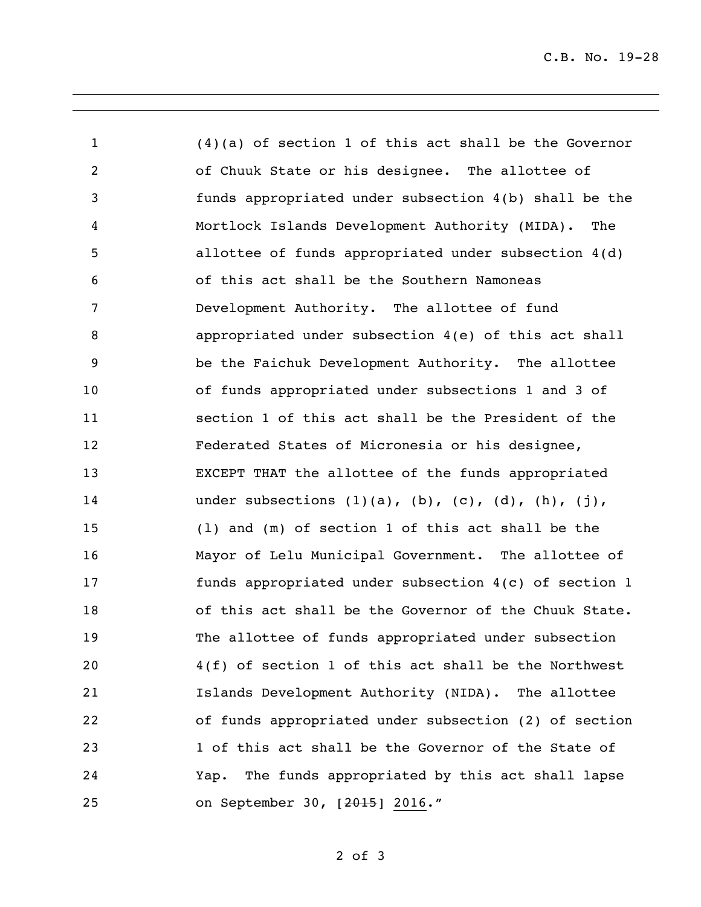(4)(a) of section 1 of this act shall be the Governor of Chuuk State or his designee. The allottee of funds appropriated under subsection 4(b) shall be the Mortlock Islands Development Authority (MIDA). The allottee of funds appropriated under subsection 4(d) of this act shall be the Southern Namoneas Development Authority. The allottee of fund appropriated under subsection 4(e) of this act shall be the Faichuk Development Authority. The allottee of funds appropriated under subsections 1 and 3 of section 1 of this act shall be the President of the Federated States of Micronesia or his designee, EXCEPT THAT the allottee of the funds appropriated 14 under subsections  $(1)(a)$ ,  $(b)$ ,  $(c)$ ,  $(d)$ ,  $(h)$ ,  $(j)$ , (l) and (m) of section 1 of this act shall be the Mayor of Lelu Municipal Government. The allottee of funds appropriated under subsection 4(c) of section 1 of this act shall be the Governor of the Chuuk State. The allottee of funds appropriated under subsection 4(f) of section 1 of this act shall be the Northwest Islands Development Authority (NIDA). The allottee of funds appropriated under subsection (2) of section 1 of this act shall be the Governor of the State of Yap. The funds appropriated by this act shall lapse on September 30, [2015] 2016."

## of 3